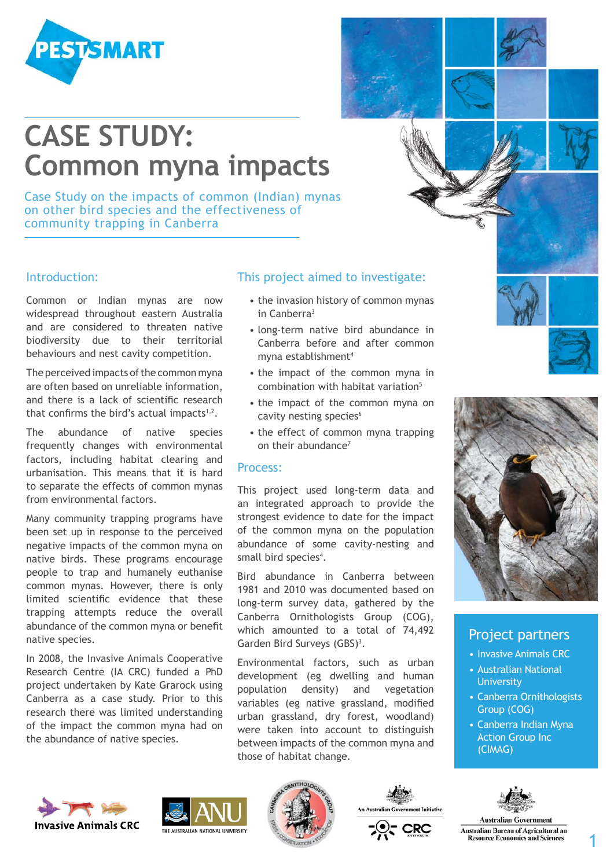

# **CASE STUDY: Common myna impacts**

Case Study on the impacts of common (Indian) mynas on other bird species and the effectiveness of community trapping in Canberra

#### Introduction:

Common or Indian mynas are now widespread throughout eastern Australia and are considered to threaten native biodiversity due to their territorial behaviours and nest cavity competition.

The perceived impacts of the common myna are often based on unreliable information, and there is a lack of scientific research that confirms the bird's actual impacts $1,2$ .

The abundance of native species frequently changes with environmental factors, including habitat clearing and urbanisation. This means that it is hard to separate the effects of common mynas from environmental factors.

Many community trapping programs have been set up in response to the perceived negative impacts of the common myna on native birds. These programs encourage people to trap and humanely euthanise common mynas. However, there is only limited scientific evidence that these trapping attempts reduce the overall abundance of the common myna or benefit native species.

In 2008, the Invasive Animals Cooperative Research Centre (IA CRC) funded a PhD project undertaken by Kate Grarock using Canberra as a case study. Prior to this research there was limited understanding of the impact the common myna had on the abundance of native species.

# This project aimed to investigate:

- the invasion history of common mynas in Canberra3
- long-term native bird abundance in Canberra before and after common myna establishment4
- the impact of the common myna in combination with habitat variation<sup>5</sup>
- the impact of the common myna on cavity nesting species<sup>6</sup>
- the effect of common myna trapping on their abundance<sup>7</sup>

#### Process:

This project used long-term data and an integrated approach to provide the strongest evidence to date for the impact of the common myna on the population abundance of some cavity-nesting and small bird species<sup>4</sup>.

Bird abundance in Canberra between 1981 and 2010 was documented based on long-term survey data, gathered by the Canberra Ornithologists Group (COG), which amounted to a total of 74,492 Garden Bird Surveys (GBS)<sup>3</sup>.

Environmental factors, such as urban development (eg dwelling and human population density) and vegetation variables (eg native grassland, modified urban grassland, dry forest, woodland) were taken into account to distinguish between impacts of the common myna and those of habitat change.



### Project partners

- Invasive Animals CRC
- Australian National **University**
- Canberra Ornithologists Group (COG)
- Canberra Indian Myna Action Group Inc (CIMAG)



**Australian Government Australian Bureau of Agricultural an Resource Economics and Sciences** 









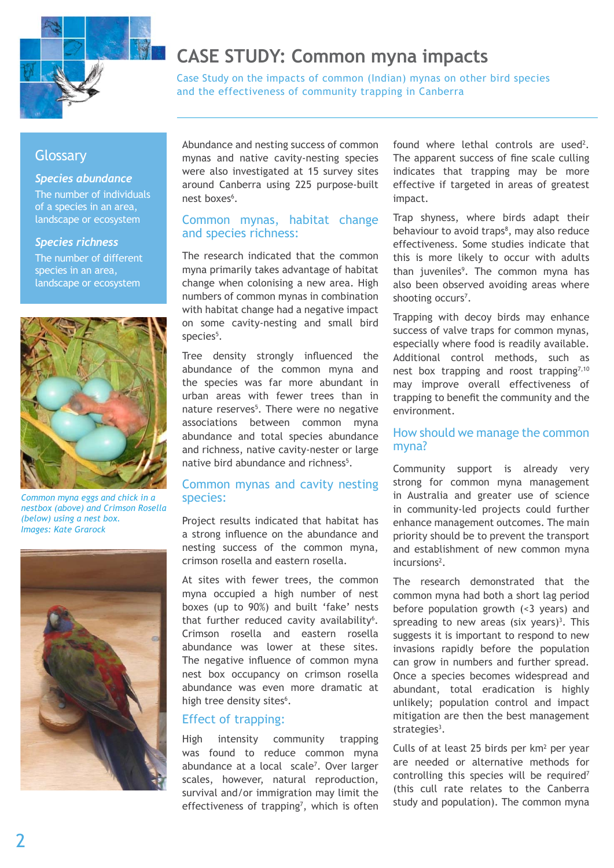

# **CASE STUDY: Common myna impacts**

Case Study on the impacts of common (Indian) mynas on other bird species and the effectiveness of community trapping in Canberra

# **Glossary**

#### *Species abundance*

The number of individuals of a species in an area, landscape or ecosystem

#### *Species richness*

The number of different species in an area, landscape or ecosystem



*Common myna eggs and chick in a nestbox (above) and Crimson Rosella (below) using a nest box. Images: Kate Grarock*



Abundance and nesting success of common mynas and native cavity-nesting species were also investigated at 15 survey sites around Canberra using 225 purpose-built nest boxes<sup>6</sup>.

#### Common mynas, habitat change and species richness:

The research indicated that the common myna primarily takes advantage of habitat change when colonising a new area. High numbers of common mynas in combination with habitat change had a negative impact on some cavity-nesting and small bird species<sup>5</sup>.

Tree density strongly influenced the abundance of the common myna and the species was far more abundant in urban areas with fewer trees than in nature reserves<sup>5</sup>. There were no negative associations between common myna abundance and total species abundance and richness, native cavity-nester or large native bird abundance and richness<sup>5</sup>.

### Common mynas and cavity nesting species:

Project results indicated that habitat has a strong influence on the abundance and nesting success of the common myna, crimson rosella and eastern rosella.

At sites with fewer trees, the common myna occupied a high number of nest boxes (up to 90%) and built 'fake' nests that further reduced cavity availability<sup>6</sup>. Crimson rosella and eastern rosella abundance was lower at these sites. The negative influence of common myna nest box occupancy on crimson rosella abundance was even more dramatic at high tree density sites<sup>6</sup>.

#### Effect of trapping:

High intensity community trapping was found to reduce common myna abundance at a local scale<sup>7</sup>. Over larger scales, however, natural reproduction, survival and/or immigration may limit the effectiveness of trapping<sup>7</sup>, which is often

found where lethal controls are used<sup>2</sup>. The apparent success of fine scale culling indicates that trapping may be more effective if targeted in areas of greatest impact.

Trap shyness, where birds adapt their behaviour to avoid traps<sup>8</sup>, may also reduce effectiveness. Some studies indicate that this is more likely to occur with adults than juveniles<sup>9</sup>. The common myna has also been observed avoiding areas where shooting occurs<sup>7</sup>.

Trapping with decoy birds may enhance success of valve traps for common mynas, especially where food is readily available. Additional control methods, such as nest box trapping and roost trapping<sup>7,10</sup> may improve overall effectiveness of trapping to benefit the community and the environment.

#### How should we manage the common myna?

Community support is already very strong for common myna management in Australia and greater use of science in community-led projects could further enhance management outcomes. The main priority should be to prevent the transport and establishment of new common myna incursions<sup>2</sup>.

The research demonstrated that the common myna had both a short lag period before population growth (<3 years) and spreading to new areas (six years)<sup>3</sup>. This suggests it is important to respond to new invasions rapidly before the population can grow in numbers and further spread. Once a species becomes widespread and abundant, total eradication is highly unlikely; population control and impact mitigation are then the best management strategies $3$ .

Culls of at least 25 birds per  $km<sup>2</sup>$  per year are needed or alternative methods for controlling this species will be required<sup>7</sup> (this cull rate relates to the Canberra study and population). The common myna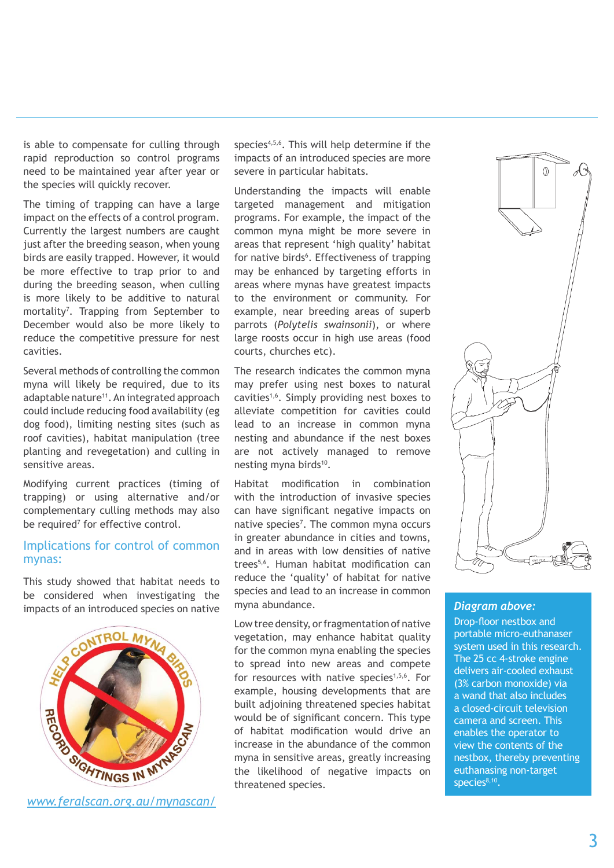is able to compensate for culling through rapid reproduction so control programs need to be maintained year after year or the species will quickly recover.

The timing of trapping can have a large impact on the effects of a control program. Currently the largest numbers are caught just after the breeding season, when young birds are easily trapped. However, it would be more effective to trap prior to and during the breeding season, when culling is more likely to be additive to natural mortality7 . Trapping from September to December would also be more likely to reduce the competitive pressure for nest cavities.

Several methods of controlling the common myna will likely be required, due to its adaptable nature<sup>11</sup>. An integrated approach could include reducing food availability (eg dog food), limiting nesting sites (such as roof cavities), habitat manipulation (tree planting and revegetation) and culling in sensitive areas.

Modifying current practices (timing of trapping) or using alternative and/or complementary culling methods may also be required<sup>7</sup> for effective control.

#### Implications for control of common mynas:

This study showed that habitat needs to be considered when investigating the impacts of an introduced species on native



*[www.feralscan.org.au/mynascan/](http://www.feralscan.org.au/mynascan/)*

species<sup>4,5,6</sup>. This will help determine if the impacts of an introduced species are more severe in particular habitats.

Understanding the impacts will enable targeted management and mitigation programs. For example, the impact of the common myna might be more severe in areas that represent 'high quality' habitat for native birds<sup>6</sup>. Effectiveness of trapping may be enhanced by targeting efforts in areas where mynas have greatest impacts to the environment or community. For example, near breeding areas of superb parrots (*Polytelis swainsonii*), or where large roosts occur in high use areas (food courts, churches etc).

The research indicates the common myna may prefer using nest boxes to natural cavities1,6. Simply providing nest boxes to alleviate competition for cavities could lead to an increase in common myna nesting and abundance if the nest boxes are not actively managed to remove nesting myna birds<sup>10</sup>.

Habitat modification in combination with the introduction of invasive species can have significant negative impacts on native species<sup>7</sup>. The common myna occurs in greater abundance in cities and towns, and in areas with low densities of native trees5,6. Human habitat modification can reduce the 'quality' of habitat for native species and lead to an increase in common myna abundance.

Low tree density, or fragmentation of native vegetation, may enhance habitat quality for the common myna enabling the species to spread into new areas and compete for resources with native species<sup>1,5,6</sup>. For example, housing developments that are built adjoining threatened species habitat would be of significant concern. This type of habitat modification would drive an increase in the abundance of the common myna in sensitive areas, greatly increasing the likelihood of negative impacts on threatened species.



#### *Diagram above:*

Drop-floor nestbox and portable micro-euthanaser system used in this research. The 25 cc 4-stroke engine delivers air-cooled exhaust (3% carbon monoxide) via a wand that also includes a closed-circuit television camera and screen. This enables the operator to view the contents of the nestbox, thereby preventing euthanasing non-target species<sup>8,10</sup>.